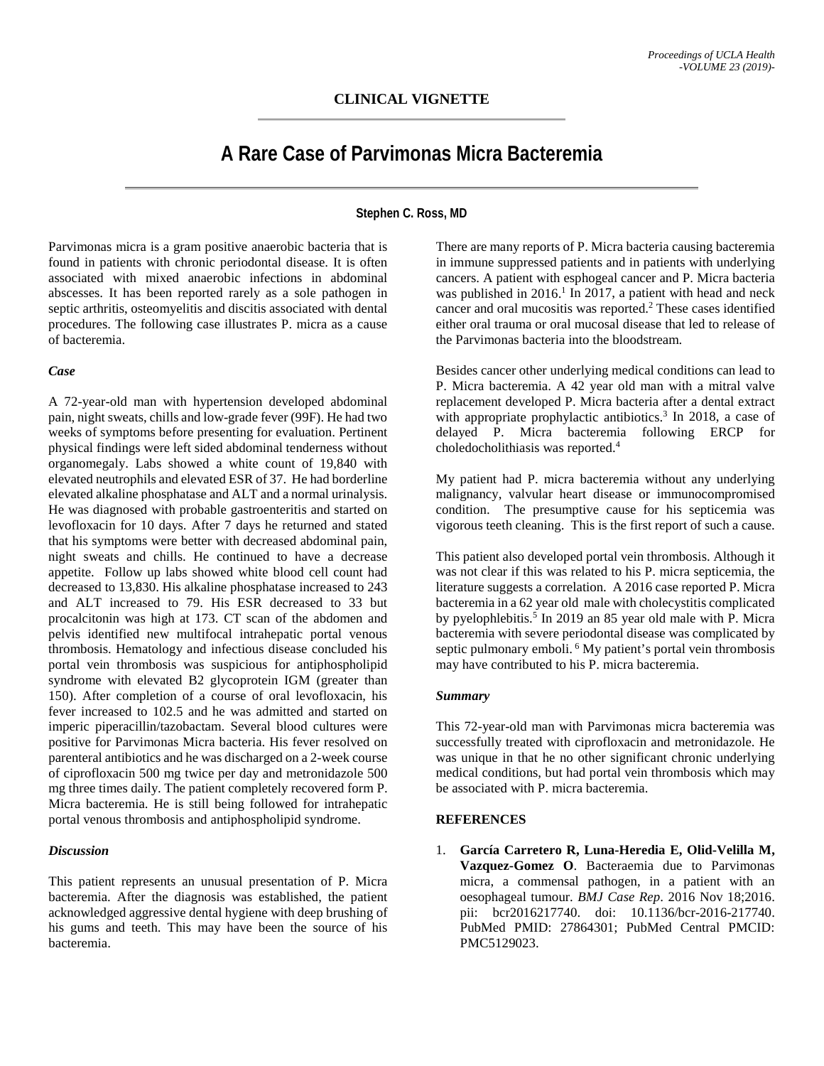## **CLINICAL VIGNETTE**

# **A Rare Case of Parvimonas Micra Bacteremia**

## **Stephen C. Ross, MD**

Parvimonas micra is a gram positive anaerobic bacteria that is found in patients with chronic periodontal disease. It is often associated with mixed anaerobic infections in abdominal abscesses. It has been reported rarely as a sole pathogen in septic arthritis, osteomyelitis and discitis associated with dental procedures. The following case illustrates P. micra as a cause of bacteremia.

#### *Case*

A 72-year-old man with hypertension developed abdominal pain, night sweats, chills and low-grade fever (99F). He had two weeks of symptoms before presenting for evaluation. Pertinent physical findings were left sided abdominal tenderness without organomegaly. Labs showed a white count of 19,840 with elevated neutrophils and elevated ESR of 37. He had borderline elevated alkaline phosphatase and ALT and a normal urinalysis. He was diagnosed with probable gastroenteritis and started on levofloxacin for 10 days. After 7 days he returned and stated that his symptoms were better with decreased abdominal pain, night sweats and chills. He continued to have a decrease appetite. Follow up labs showed white blood cell count had decreased to 13,830. His alkaline phosphatase increased to 243 and ALT increased to 79. His ESR decreased to 33 but procalcitonin was high at 173. CT scan of the abdomen and pelvis identified new multifocal intrahepatic portal venous thrombosis. Hematology and infectious disease concluded his portal vein thrombosis was suspicious for antiphospholipid syndrome with elevated B2 glycoprotein IGM (greater than 150). After completion of a course of oral levofloxacin, his fever increased to 102.5 and he was admitted and started on imperic piperacillin/tazobactam. Several blood cultures were positive for Parvimonas Micra bacteria. His fever resolved on parenteral antibiotics and he was discharged on a 2-week course of ciprofloxacin 500 mg twice per day and metronidazole 500 mg three times daily. The patient completely recovered form P. Micra bacteremia. He is still being followed for intrahepatic portal venous thrombosis and antiphospholipid syndrome.

## *Discussion*

This patient represents an unusual presentation of P. Micra bacteremia. After the diagnosis was established, the patient acknowledged aggressive dental hygiene with deep brushing of his gums and teeth. This may have been the source of his bacteremia.

There are many reports of P. Micra bacteria causing bacteremia in immune suppressed patients and in patients with underlying cancers. A patient with esphogeal cancer and P. Micra bacteria was published in 2016.<sup>1</sup> In 2017, a patient with head and neck cancer and oral mucositis was reported. <sup>2</sup> These cases identified either oral trauma or oral mucosal disease that led to release of the Parvimonas bacteria into the bloodstream.

Besides cancer other underlying medical conditions can lead to P. Micra bacteremia. A 42 year old man with a mitral valve replacement developed P. Micra bacteria after a dental extract with appropriate prophylactic antibiotics. <sup>3</sup> In 2018, a case of delayed P. Micra bacteremia following ERCP for choledocholithiasis was reported. 4

My patient had P. micra bacteremia without any underlying malignancy, valvular heart disease or immunocompromised condition. The presumptive cause for his septicemia was vigorous teeth cleaning. This is the first report of such a cause.

This patient also developed portal vein thrombosis. Although it was not clear if this was related to his P. micra septicemia, the literature suggests a correlation. A 2016 case reported P. Micra bacteremia in a 62 year old male with cholecystitis complicated by pyelophlebitis.<sup>5</sup> In 2019 an 85 year old male with P. Micra bacteremia with severe periodontal disease was complicated by septic pulmonary emboli. <sup>6</sup> My patient's portal vein thrombosis may have contributed to his P. micra bacteremia.

## *Summary*

This 72-year-old man with Parvimonas micra bacteremia was successfully treated with ciprofloxacin and metronidazole. He was unique in that he no other significant chronic underlying medical conditions, but had portal vein thrombosis which may be associated with P. micra bacteremia.

## **REFERENCES**

1. **García Carretero R, Luna-Heredia E, Olid-Velilla M, Vazquez-Gomez O**. Bacteraemia due to Parvimonas micra, a commensal pathogen, in a patient with an oesophageal tumour. *BMJ Case Rep*. 2016 Nov 18;2016. pii: bcr2016217740. doi: 10.1136/bcr-2016-217740. PubMed PMID: 27864301; PubMed Central PMCID: PMC5129023.